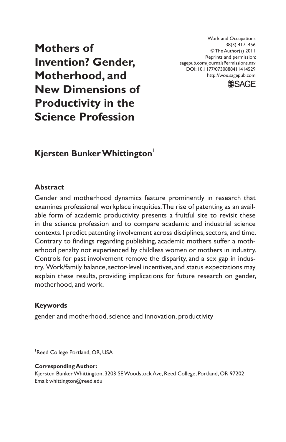**Mothers of Invention? Gender, Motherhood, and New Dimensions of Productivity in the Science Profession**

Work and Occupations 38(3) 417–456 © The Author(s) 2011 Reprints and permission: sagepub.com/journalsPermissions.nav DOI: 10.1177/0730888411414529 http://wox.sagepub.com



## **Kjersten Bunker Whittington**

#### **Abstract**

Gender and motherhood dynamics feature prominently in research that examines professional workplace inequities. The rise of patenting as an available form of academic productivity presents a fruitful site to revisit these in the science profession and to compare academic and industrial science contexts. I predict patenting involvement across disciplines, sectors, and time. Contrary to findings regarding publishing, academic mothers suffer a motherhood penalty not experienced by childless women or mothers in industry. Controls for past involvement remove the disparity, and a sex gap in industry. Work/family balance, sector-level incentives, and status expectations may explain these results, providing implications for future research on gender, motherhood, and work.

#### **Keywords**

gender and motherhood, science and innovation, productivity

Reed College Portland, OR, USA

#### **Corresponding Author:**

Kjersten Bunker Whittington, 3203 SE Woodstock Ave, Reed College, Portland, OR 97202 Email: whittington@reed.edu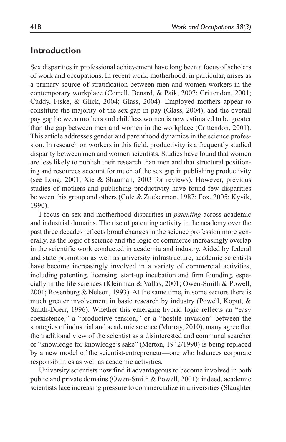### **Introduction**

Sex disparities in professional achievement have long been a focus of scholars of work and occupations. In recent work, motherhood, in particular, arises as a primary source of stratification between men and women workers in the contemporary workplace (Correll, Benard, & Paik, 2007; Crittendon, 2001; Cuddy, Fiske, & Glick, 2004; Glass, 2004). Employed mothers appear to constitute the majority of the sex gap in pay (Glass, 2004), and the overall pay gap between mothers and childless women is now estimated to be greater than the gap between men and women in the workplace (Crittendon, 2001). This article addresses gender and parenthood dynamics in the science profession. In research on workers in this field, productivity is a frequently studied disparity between men and women scientists. Studies have found that women are less likely to publish their research than men and that structural positioning and resources account for much of the sex gap in publishing productivity (see Long, 2001; Xie & Shauman, 2003 for reviews). However, previous studies of mothers and publishing productivity have found few disparities between this group and others (Cole & Zuckerman, 1987; Fox, 2005; Kyvik, 1990).

I focus on sex and motherhood disparities in *patenting* across academic and industrial domains. The rise of patenting activity in the academy over the past three decades reflects broad changes in the science profession more generally, as the logic of science and the logic of commerce increasingly overlap in the scientific work conducted in academia and industry. Aided by federal and state promotion as well as university infrastructure, academic scientists have become increasingly involved in a variety of commercial activities, including patenting, licensing, start-up incubation and firm founding, especially in the life sciences (Kleinman & Vallas, 2001; Owen-Smith & Powell, 2001; Rosenburg & Nelson, 1993). At the same time, in some sectors there is much greater involvement in basic research by industry (Powell, Koput, & Smith-Doerr, 1996). Whether this emerging hybrid logic reflects an "easy coexistence," a "productive tension," or a "hostile invasion" between the strategies of industrial and academic science (Murray, 2010), many agree that the traditional view of the scientist as a disinterested and communal searcher of "knowledge for knowledge's sake" (Merton, 1942/1990) is being replaced by a new model of the scientist-entrepreneur—one who balances corporate responsibilities as well as academic activities.

University scientists now find it advantageous to become involved in both public and private domains (Owen-Smith & Powell, 2001); indeed, academic scientists face increasing pressure to commercialize in universities (Slaughter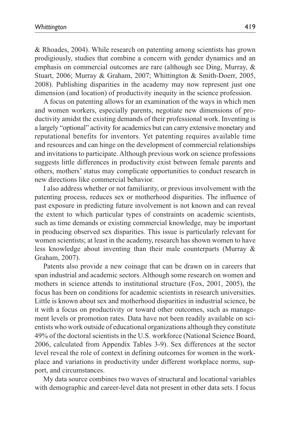& Rhoades, 2004). While research on patenting among scientists has grown prodigiously, studies that combine a concern with gender dynamics and an emphasis on commercial outcomes are rare (although see Ding, Murray, & Stuart, 2006; Murray & Graham, 2007; Whittington & Smith-Doerr, 2005, 2008). Publishing disparities in the academy may now represent just one dimension (and location) of productivity inequity in the science profession.

A focus on patenting allows for an examination of the ways in which men and women workers, especially parents, negotiate new dimensions of productivity amidst the existing demands of their professional work. Inventing is a largely "optional" activity for academics but can carry extensive monetary and reputational benefits for inventors. Yet patenting requires available time and resources and can hinge on the development of commercial relationships and invitations to participate. Although previous work on science professions suggests little differences in productivity exist between female parents and others, mothers' status may complicate opportunities to conduct research in new directions like commercial behavior.

I also address whether or not familiarity, or previous involvement with the patenting process, reduces sex or motherhood disparities. The influence of past exposure in predicting future involvement is not known and can reveal the extent to which particular types of constraints on academic scientists, such as time demands or existing commercial knowledge, may be important in producing observed sex disparities. This issue is particularly relevant for women scientists; at least in the academy, research has shown women to have less knowledge about inventing than their male counterparts (Murray & Graham, 2007).

Patents also provide a new coinage that can be drawn on in careers that span industrial and academic sectors. Although some research on women and mothers in science attends to institutional structure (Fox, 2001, 2005), the focus has been on conditions for academic scientists in research universities. Little is known about sex and motherhood disparities in industrial science, be it with a focus on productivity or toward other outcomes, such as management levels or promotion rates. Data have not been readily available on scientists who work outside of educational organizations although they constitute 49% of the doctoral scientists in the U.S. workforce (National Science Board, 2006, calculated from Appendix Tables 3-9). Sex differences at the sector level reveal the role of context in defining outcomes for women in the workplace and variations in productivity under different workplace norms, support, and circumstances.

My data source combines two waves of structural and locational variables with demographic and career-level data not present in other data sets. I focus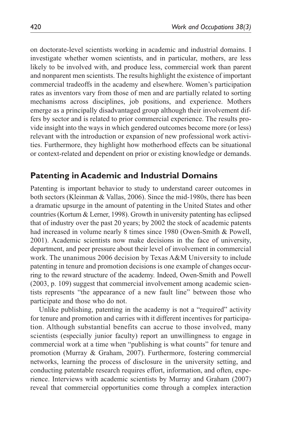on doctorate-level scientists working in academic and industrial domains. I investigate whether women scientists, and in particular, mothers, are less likely to be involved with, and produce less, commercial work than parent and nonparent men scientists. The results highlight the existence of important commercial tradeoffs in the academy and elsewhere. Women's participation rates as inventors vary from those of men and are partially related to sorting mechanisms across disciplines, job positions, and experience. Mothers emerge as a principally disadvantaged group although their involvement differs by sector and is related to prior commercial experience. The results provide insight into the ways in which gendered outcomes become more (or less) relevant with the introduction or expansion of new professional work activities. Furthermore, they highlight how motherhood effects can be situational or context-related and dependent on prior or existing knowledge or demands.

### **Patenting in Academic and Industrial Domains**

Patenting is important behavior to study to understand career outcomes in both sectors (Kleinman & Vallas, 2006). Since the mid-1980s, there has been a dramatic upsurge in the amount of patenting in the United States and other countries (Kortum & Lerner, 1998). Growth in university patenting has eclipsed that of industry over the past 20 years; by 2002 the stock of academic patents had increased in volume nearly 8 times since 1980 (Owen-Smith & Powell, 2001). Academic scientists now make decisions in the face of university, department, and peer pressure about their level of involvement in commercial work. The unanimous 2006 decision by Texas A&M University to include patenting in tenure and promotion decisions is one example of changes occurring to the reward structure of the academy. Indeed, Owen-Smith and Powell (2003, p. 109) suggest that commercial involvement among academic scientists represents "the appearance of a new fault line" between those who participate and those who do not.

Unlike publishing, patenting in the academy is not a "required" activity for tenure and promotion and carries with it different incentives for participation. Although substantial benefits can accrue to those involved, many scientists (especially junior faculty) report an unwillingness to engage in commercial work at a time when "publishing is what counts" for tenure and promotion (Murray & Graham, 2007). Furthermore, fostering commercial networks, learning the process of disclosure in the university setting, and conducting patentable research requires effort, information, and often, experience. Interviews with academic scientists by Murray and Graham (2007) reveal that commercial opportunities come through a complex interaction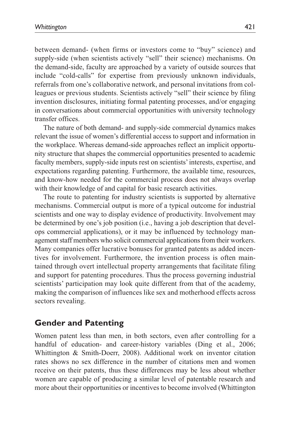between demand- (when firms or investors come to "buy" science) and supply-side (when scientists actively "sell" their science) mechanisms. On the demand-side, faculty are approached by a variety of outside sources that include "cold-calls" for expertise from previously unknown individuals, referrals from one's collaborative network, and personal invitations from colleagues or previous students. Scientists actively "sell" their science by filing invention disclosures, initiating formal patenting processes, and/or engaging in conversations about commercial opportunities with university technology transfer offices.

The nature of both demand- and supply-side commercial dynamics makes relevant the issue of women's differential access to support and information in the workplace. Whereas demand-side approaches reflect an implicit opportunity structure that shapes the commercial opportunities presented to academic faculty members, supply-side inputs rest on scientists' interests, expertise, and expectations regarding patenting. Furthermore, the available time, resources, and know-how needed for the commercial process does not always overlap with their knowledge of and capital for basic research activities.

The route to patenting for industry scientists is supported by alternative mechanisms. Commercial output is more of a typical outcome for industrial scientists and one way to display evidence of productivity. Involvement may be determined by one's job position (i.e., having a job description that develops commercial applications), or it may be influenced by technology management staff members who solicit commercial applications from their workers. Many companies offer lucrative bonuses for granted patents as added incentives for involvement. Furthermore, the invention process is often maintained through overt intellectual property arrangements that facilitate filing and support for patenting procedures. Thus the process governing industrial scientists' participation may look quite different from that of the academy, making the comparison of influences like sex and motherhood effects across sectors revealing.

### **Gender and Patenting**

Women patent less than men, in both sectors, even after controlling for a handful of education- and career-history variables (Ding et al., 2006; Whittington & Smith-Doerr, 2008). Additional work on inventor citation rates shows no sex difference in the number of citations men and women receive on their patents, thus these differences may be less about whether women are capable of producing a similar level of patentable research and more about their opportunities or incentives to become involved (Whittington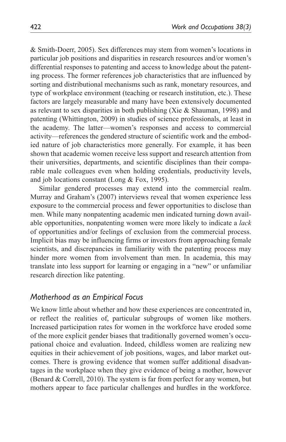& Smith-Doerr, 2005). Sex differences may stem from women's locations in particular job positions and disparities in research resources and/or women's differential responses to patenting and access to knowledge about the patenting process. The former references job characteristics that are influenced by sorting and distributional mechanisms such as rank, monetary resources, and type of workplace environment (teaching or research institution, etc.). These factors are largely measurable and many have been extensively documented as relevant to sex disparities in both publishing (Xie & Shauman, 1998) and patenting (Whittington, 2009) in studies of science professionals, at least in the academy. The latter—women's responses and access to commercial activity—references the gendered structure of scientific work and the embodied nature of job characteristics more generally. For example, it has been shown that academic women receive less support and research attention from their universities, departments, and scientific disciplines than their comparable male colleagues even when holding credentials, productivity levels, and job locations constant (Long & Fox, 1995).

Similar gendered processes may extend into the commercial realm. Murray and Graham's (2007) interviews reveal that women experience less exposure to the commercial process and fewer opportunities to disclose than men. While many nonpatenting academic men indicated turning down available opportunities, nonpatenting women were more likely to indicate a *lack* of opportunities and/or feelings of exclusion from the commercial process. Implicit bias may be influencing firms or investors from approaching female scientists, and discrepancies in familiarity with the patenting process may hinder more women from involvement than men. In academia, this may translate into less support for learning or engaging in a "new" or unfamiliar research direction like patenting.

### *Motherhood as an Empirical Focus*

We know little about whether and how these experiences are concentrated in, or reflect the realities of, particular subgroups of women like mothers. Increased participation rates for women in the workforce have eroded some of the more explicit gender biases that traditionally governed women's occupational choice and evaluation. Indeed, childless women are realizing new equities in their achievement of job positions, wages, and labor market outcomes. There is growing evidence that women suffer additional disadvantages in the workplace when they give evidence of being a mother, however (Benard & Correll, 2010). The system is far from perfect for any women, but mothers appear to face particular challenges and hurdles in the workforce.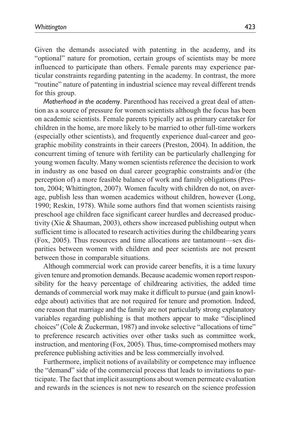Given the demands associated with patenting in the academy, and its "optional" nature for promotion, certain groups of scientists may be more influenced to participate than others. Female parents may experience particular constraints regarding patenting in the academy. In contrast, the more "routine" nature of patenting in industrial science may reveal different trends for this group.

*Motherhood in the academy*. Parenthood has received a great deal of attention as a source of pressure for women scientists although the focus has been on academic scientists. Female parents typically act as primary caretaker for children in the home, are more likely to be married to other full-time workers (especially other scientists), and frequently experience dual-career and geographic mobility constraints in their careers (Preston, 2004). In addition, the concurrent timing of tenure with fertility can be particularly challenging for young women faculty. Many women scientists reference the decision to work in industry as one based on dual career geographic constraints and/or (the perception of) a more feasible balance of work and family obligations (Preston, 2004; Whittington, 2007). Women faculty with children do not, on average, publish less than women academics without children, however (Long, 1990; Reskin, 1978). While some authors find that women scientists raising preschool age children face significant career hurdles and decreased productivity (Xie & Shauman, 2003), others show increased publishing output when sufficient time is allocated to research activities during the childbearing years (Fox, 2005). Thus resources and time allocations are tantamount—sex disparities between women with children and peer scientists are not present between those in comparable situations.

Although commercial work can provide career benefits, it is a time luxury given tenure and promotion demands. Because academic women report responsibility for the heavy percentage of childrearing activities, the added time demands of commercial work may make it difficult to pursue (and gain knowledge about) activities that are not required for tenure and promotion. Indeed, one reason that marriage and the family are not particularly strong explanatory variables regarding publishing is that mothers appear to make "disciplined choices" (Cole & Zuckerman, 1987) and invoke selective "allocations of time" to preference research activities over other tasks such as committee work, instruction, and mentoring (Fox, 2005). Thus, time-compromised mothers may preference publishing activities and be less commercially involved.

Furthermore, implicit notions of availability or competence may influence the "demand" side of the commercial process that leads to invitations to participate. The fact that implicit assumptions about women permeate evaluation and rewards in the sciences is not new to research on the science profession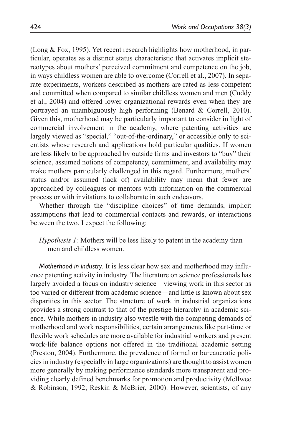(Long & Fox, 1995). Yet recent research highlights how motherhood, in particular, operates as a distinct status characteristic that activates implicit stereotypes about mothers' perceived commitment and competence on the job, in ways childless women are able to overcome (Correll et al., 2007). In separate experiments, workers described as mothers are rated as less competent and committed when compared to similar childless women and men (Cuddy et al., 2004) and offered lower organizational rewards even when they are portrayed an unambiguously high performing (Benard & Correll, 2010). Given this, motherhood may be particularly important to consider in light of commercial involvement in the academy, where patenting activities are largely viewed as "special," "out-of-the-ordinary," or accessible only to scientists whose research and applications hold particular qualities. If women are less likely to be approached by outside firms and investors to "buy" their science, assumed notions of competency, commitment, and availability may make mothers particularly challenged in this regard. Furthermore, mothers' status and/or assumed (lack of) availability may mean that fewer are approached by colleagues or mentors with information on the commercial process or with invitations to collaborate in such endeavors.

Whether through the "discipline choices" of time demands, implicit assumptions that lead to commercial contacts and rewards, or interactions between the two, I expect the following:

*Hypothesis 1:* Mothers will be less likely to patent in the academy than men and childless women.

*Motherhood in industry*. It is less clear how sex and motherhood may influence patenting activity in industry. The literature on science professionals has largely avoided a focus on industry science—viewing work in this sector as too varied or different from academic science—and little is known about sex disparities in this sector. The structure of work in industrial organizations provides a strong contrast to that of the prestige hierarchy in academic science. While mothers in industry also wrestle with the competing demands of motherhood and work responsibilities, certain arrangements like part-time or flexible work schedules are more available for industrial workers and present work-life balance options not offered in the traditional academic setting (Preston, 2004). Furthermore, the prevalence of formal or bureaucratic policies in industry (especially in large organizations) are thought to assist women more generally by making performance standards more transparent and providing clearly defined benchmarks for promotion and productivity (McIlwee & Robinson, 1992; Reskin & McBrier, 2000). However, scientists, of any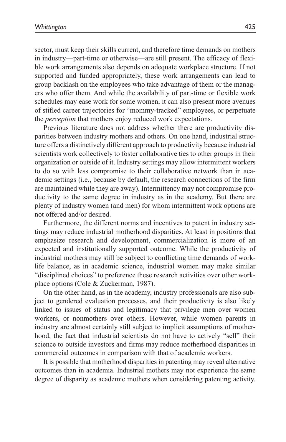sector, must keep their skills current, and therefore time demands on mothers in industry—part-time or otherwise—are still present. The efficacy of flexible work arrangements also depends on adequate workplace structure. If not supported and funded appropriately, these work arrangements can lead to group backlash on the employees who take advantage of them or the managers who offer them. And while the availability of part-time or flexible work schedules may ease work for some women, it can also present more avenues of stifled career trajectories for "mommy-tracked" employees, or perpetuate the *perception* that mothers enjoy reduced work expectations.

Previous literature does not address whether there are productivity disparities between industry mothers and others. On one hand, industrial structure offers a distinctively different approach to productivity because industrial scientists work collectively to foster collaborative ties to other groups in their organization or outside of it. Industry settings may allow intermittent workers to do so with less compromise to their collaborative network than in academic settings (i.e., because by default, the research connections of the firm are maintained while they are away). Intermittency may not compromise productivity to the same degree in industry as in the academy. But there are plenty of industry women (and men) for whom intermittent work options are not offered and/or desired.

Furthermore, the different norms and incentives to patent in industry settings may reduce industrial motherhood disparities. At least in positions that emphasize research and development, commercialization is more of an expected and institutionally supported outcome. While the productivity of industrial mothers may still be subject to conflicting time demands of worklife balance, as in academic science, industrial women may make similar "disciplined choices" to preference these research activities over other workplace options (Cole & Zuckerman, 1987).

On the other hand, as in the academy, industry professionals are also subject to gendered evaluation processes, and their productivity is also likely linked to issues of status and legitimacy that privilege men over women workers, or nonmothers over others. However, while women parents in industry are almost certainly still subject to implicit assumptions of motherhood, the fact that industrial scientists do not have to actively "sell" their science to outside investors and firms may reduce motherhood disparities in commercial outcomes in comparison with that of academic workers.

It is possible that motherhood disparities in patenting may reveal alternative outcomes than in academia. Industrial mothers may not experience the same degree of disparity as academic mothers when considering patenting activity.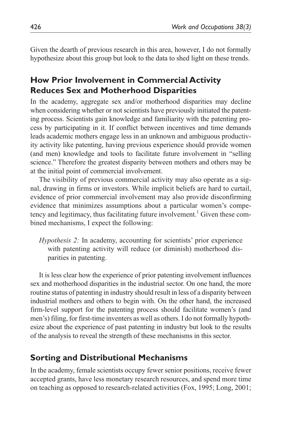Given the dearth of previous research in this area, however, I do not formally hypothesize about this group but look to the data to shed light on these trends.

# **How Prior Involvement in Commercial Activity Reduces Sex and Motherhood Disparities**

In the academy, aggregate sex and/or motherhood disparities may decline when considering whether or not scientists have previously initiated the patenting process. Scientists gain knowledge and familiarity with the patenting process by participating in it. If conflict between incentives and time demands leads academic mothers engage less in an unknown and ambiguous productivity activity like patenting, having previous experience should provide women (and men) knowledge and tools to facilitate future involvement in "selling science." Therefore the greatest disparity between mothers and others may be at the initial point of commercial involvement.

The visibility of previous commercial activity may also operate as a signal, drawing in firms or investors. While implicit beliefs are hard to curtail, evidence of prior commercial involvement may also provide disconfirming evidence that minimizes assumptions about a particular women's competency and legitimacy, thus facilitating future involvement.<sup>1</sup> Given these combined mechanisms, I expect the following:

*Hypothesis 2:* In academy, accounting for scientists' prior experience with patenting activity will reduce (or diminish) motherhood disparities in patenting.

It is less clear how the experience of prior patenting involvement influences sex and motherhood disparities in the industrial sector. On one hand, the more routine status of patenting in industry should result in less of a disparity between industrial mothers and others to begin with. On the other hand, the increased firm-level support for the patenting process should facilitate women's (and men's) filing, for first-time inventers as well as others. I do not formally hypothesize about the experience of past patenting in industry but look to the results of the analysis to reveal the strength of these mechanisms in this sector.

# **Sorting and Distributional Mechanisms**

In the academy, female scientists occupy fewer senior positions, receive fewer accepted grants, have less monetary research resources, and spend more time on teaching as opposed to research-related activities (Fox, 1995; Long, 2001;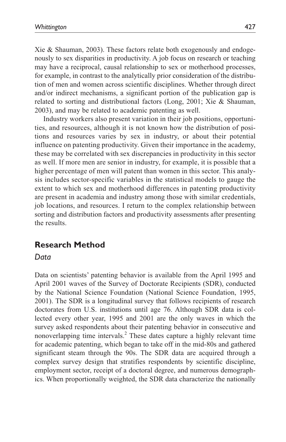Xie & Shauman, 2003). These factors relate both exogenously and endogenously to sex disparities in productivity. A job focus on research or teaching may have a reciprocal, causal relationship to sex or motherhood processes, for example, in contrast to the analytically prior consideration of the distribution of men and women across scientific disciplines. Whether through direct and/or indirect mechanisms, a significant portion of the publication gap is related to sorting and distributional factors (Long, 2001; Xie & Shauman, 2003), and may be related to academic patenting as well.

Industry workers also present variation in their job positions, opportunities, and resources, although it is not known how the distribution of positions and resources varies by sex in industry, or about their potential influence on patenting productivity. Given their importance in the academy, these may be correlated with sex discrepancies in productivity in this sector as well. If more men are senior in industry, for example, it is possible that a higher percentage of men will patent than women in this sector. This analysis includes sector-specific variables in the statistical models to gauge the extent to which sex and motherhood differences in patenting productivity are present in academia and industry among those with similar credentials, job locations, and resources. I return to the complex relationship between sorting and distribution factors and productivity assessments after presenting the results.

## **Research Method**

### *Data*

Data on scientists' patenting behavior is available from the April 1995 and April 2001 waves of the Survey of Doctorate Recipients (SDR), conducted by the National Science Foundation (National Science Foundation, 1995, 2001). The SDR is a longitudinal survey that follows recipients of research doctorates from U.S. institutions until age 76. Although SDR data is collected every other year, 1995 and 2001 are the only waves in which the survey asked respondents about their patenting behavior in consecutive and nonoverlapping time intervals.<sup>2</sup> These dates capture a highly relevant time for academic patenting, which began to take off in the mid-80s and gathered significant steam through the 90s. The SDR data are acquired through a complex survey design that stratifies respondents by scientific discipline, employment sector, receipt of a doctoral degree, and numerous demographics. When proportionally weighted, the SDR data characterize the nationally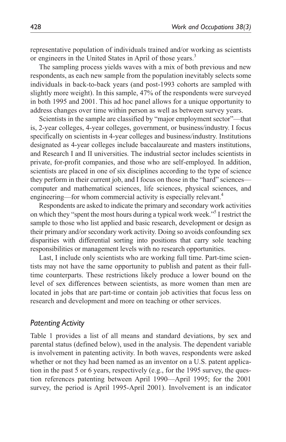representative population of individuals trained and/or working as scientists or engineers in the United States in April of those years.<sup>3</sup>

The sampling process yields waves with a mix of both previous and new respondents, as each new sample from the population inevitably selects some individuals in back-to-back years (and post-1993 cohorts are sampled with slightly more weight). In this sample, 47% of the respondents were surveyed in both 1995 and 2001. This ad hoc panel allows for a unique opportunity to address changes over time within person as well as between survey years.

Scientists in the sample are classified by "major employment sector"—that is, 2-year colleges, 4-year colleges, government, or business/industry. I focus specifically on scientists in 4-year colleges and business/industry. Institutions designated as 4-year colleges include baccalaureate and masters institutions, and Research I and II universities. The industrial sector includes scientists in private, for-profit companies, and those who are self-employed. In addition, scientists are placed in one of six disciplines according to the type of science they perform in their current job, and I focus on those in the "hard" sciences computer and mathematical sciences, life sciences, physical sciences, and engineering—for whom commercial activity is especially relevant.<sup>4</sup>

Respondents are asked to indicate the primary and secondary work activities on which they "spent the most hours during a typical work week."<sup>5</sup> I restrict the sample to those who list applied and basic research, development or design as their primary and/or secondary work activity. Doing so avoids confounding sex disparities with differential sorting into positions that carry sole teaching responsibilities or management levels with no research opportunities.

Last, I include only scientists who are working full time. Part-time scientists may not have the same opportunity to publish and patent as their fulltime counterparts. These restrictions likely produce a lower bound on the level of sex differences between scientists, as more women than men are located in jobs that are part-time or contain job activities that focus less on research and development and more on teaching or other services.

### *Patenting Activity*

Table 1 provides a list of all means and standard deviations, by sex and parental status (defined below), used in the analysis. The dependent variable is involvement in patenting activity. In both waves, respondents were asked whether or not they had been named as an inventor on a U.S. patent application in the past 5 or 6 years, respectively (e.g., for the 1995 survey, the question references patenting between April 1990—April 1995; for the 2001 survey, the period is April 1995-April 2001). Involvement is an indicator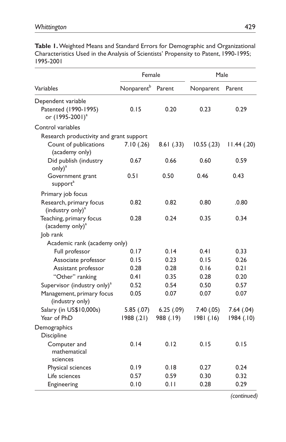|                                                                           | Female                 |            | Male       |            |
|---------------------------------------------------------------------------|------------------------|------------|------------|------------|
| Variables                                                                 | Nonparent <sup>b</sup> | Parent     | Nonparent  | Parent     |
| Dependent variable<br>Patented (1990-1995)<br>or (1995-2001) <sup>a</sup> | 0.15                   | 0.20       | 0.23       | 0.29       |
| Control variables                                                         |                        |            |            |            |
| Research productivity and grant support                                   |                        |            |            |            |
| Count of publications<br>(academy only)                                   | 7.10(.26)              | 8.61(.33)  | 10.55(.23) | 11.44(.20) |
| Did publish (industry<br>$only)^{a}$                                      | 0.67                   | 0.66       | 0.60       | 0.59       |
| Government grant<br>support <sup>a</sup>                                  | 0.51                   | 0.50       | 0.46       | 0.43       |
| Primary job focus                                                         |                        |            |            |            |
| Research, primary focus<br>(industry only) <sup>a</sup>                   | 0.82                   | 0.82       | 0.80       | .0.80      |
| Teaching, primary focus<br>(academy only) <sup>a</sup>                    | 0.28                   | 0.24       | 0.35       | 0.34       |
| lob rank                                                                  |                        |            |            |            |
| Academic rank (academy only)                                              |                        |            |            |            |
| Full professor                                                            | 0.17                   | 0.14       | 0.41       | 0.33       |
| Associate professor                                                       | 0.15                   | 0.23       | 0.15       | 0.26       |
| Assistant professor                                                       | 0.28                   | 0.28       | 0.16       | 0.21       |
| "Other" ranking                                                           | 0.41                   | 0.35       | 0.28       | 0.20       |
| Supervisor (industry only) <sup>a</sup>                                   | 0.52                   | 0.54       | 0.50       | 0.57       |
| Management, primary focus<br>(industry only)                              | 0.05                   | 0.07       | 0.07       | 0.07       |
| Salary (in US\$10,000s)                                                   | 5.85(.07)              | 6.25(0.09) | 7.40 (.05) | 7.64(.04)  |
| Year of PhD                                                               | 1988(.21)              | 988 (.19)  | 1981 (.16) | 1984 (.10) |
| Demographics<br>Discipline                                                |                        |            |            |            |
| Computer and<br>mathematical<br>sciences                                  | 0.14                   | 0.12       | 0.15       | 0.15       |
| Physical sciences                                                         | 0.19                   | 0.18       | 0.27       | 0.24       |
| Life sciences                                                             | 0.57                   | 0.59       | 0.30       | 0.32       |
| Engineering                                                               | 0.10                   | 0.11       | 0.28       | 0.29       |

**Table 1.** Weighted Means and Standard Errors for Demographic and Organizational Characteristics Used in the Analysis of Scientists' Propensity to Patent, 1990-1995; 1995-2001

*(continued)*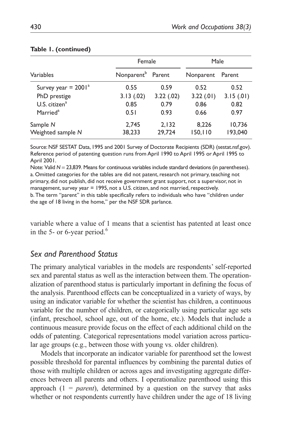|                        | Female                        |           | Male      |           |
|------------------------|-------------------------------|-----------|-----------|-----------|
| Variables              | Nonparent <sup>b</sup> Parent |           | Nonparent | Parent    |
| Survey year = $2001^a$ | 0.55                          | 0.59      | 0.52      | 0.52      |
| PhD prestige           | 3.13(.02)                     | 3.22(.02) | 3.22(.01) | 3.15(.01) |
| $U.S.$ citizen $a$     | 0.85                          | 0.79      | 0.86      | 0.82      |
| Married <sup>a</sup>   | 0.51                          | 0.93      | 0.66      | 0.97      |
| Sample N               | 2,745                         | 2,132     | 8,226     | 10,736    |
| Weighted sample N      | 38,233                        | 29.724    | 150.110   | 193.040   |

#### **Table 1. (continued)**

Source: NSF SESTAT Data, 1995 and 2001 Survey of Doctorate Recipients (SDR) (sestat.nsf.gov). Reference period of patenting question runs from April 1990 to April 1995 or April 1995 to April 2001.

Note: Valid *N* = 23,839. Means for continuous variables include standard deviations (in parentheses). a. Omitted categories for the tables are did not patent, research not primary, teaching not primary, did not publish, did not receive government grant support, not a supervisor, not in management, survey year = 1995, not a U.S. citizen, and not married, respectively. b. The term "parent" in this table specifically refers to individuals who have "children under the age of 18 living in the home," per the NSF SDR parlance.

variable where a value of 1 means that a scientist has patented at least once in the 5- or 6-year period. $6$ 

### *Sex and Parenthood Status*

The primary analytical variables in the models are respondents' self-reported sex and parental status as well as the interaction between them. The operationalization of parenthood status is particularly important in defining the focus of the analysis. Parenthood effects can be conceptualized in a variety of ways, by using an indicator variable for whether the scientist has children, a continuous variable for the number of children, or categorically using particular age sets (infant, preschool, school age, out of the home, etc.). Models that include a continuous measure provide focus on the effect of each additional child on the odds of patenting. Categorical representations model variation across particular age groups (e.g., between those with young vs. older children).

 Models that incorporate an indicator variable for parenthood set the lowest possible threshold for parental influences by combining the parental duties of those with multiple children or across ages and investigating aggregate differences between all parents and others. I operationalize parenthood using this approach  $(1 = parent)$ , determined by a question on the survey that asks whether or not respondents currently have children under the age of 18 living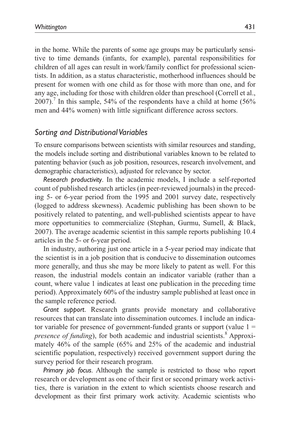in the home. While the parents of some age groups may be particularly sensitive to time demands (infants, for example), parental responsibilities for children of all ages can result in work/family conflict for professional scientists. In addition, as a status characteristic, motherhood influences should be present for women with one child as for those with more than one, and for any age, including for those with children older than preschool (Correll et al.,  $2007$ ).<sup>7</sup> In this sample, 54% of the respondents have a child at home (56%) men and 44% women) with little significant difference across sectors.

### *Sorting and Distributional Variables*

To ensure comparisons between scientists with similar resources and standing, the models include sorting and distributional variables known to be related to patenting behavior (such as job position, resources, research involvement, and demographic characteristics), adjusted for relevance by sector.

*Research productivity*. In the academic models, I include a self-reported count of published research articles (in peer-reviewed journals) in the preceding 5- or 6-year period from the 1995 and 2001 survey date, respectively (logged to address skewness). Academic publishing has been shown to be positively related to patenting, and well-published scientists appear to have more opportunities to commercialize (Stephan, Gurmu, Sumell, & Black, 2007). The average academic scientist in this sample reports publishing 10.4 articles in the 5- or 6-year period.

In industry, authoring just one article in a 5-year period may indicate that the scientist is in a job position that is conducive to dissemination outcomes more generally, and thus she may be more likely to patent as well. For this reason, the industrial models contain an indicator variable (rather than a count, where value 1 indicates at least one publication in the preceding time period). Approximately 60% of the industry sample published at least once in the sample reference period.

*Grant support*. Research grants provide monetary and collaborative resources that can translate into dissemination outcomes. I include an indicator variable for presence of government-funded grants or support (value  $1 =$ *presence of funding*), for both academic and industrial scientists.<sup>8</sup> Approximately 46% of the sample (65% and 25% of the academic and industrial scientific population, respectively) received government support during the survey period for their research program.

*Primary job focus*. Although the sample is restricted to those who report research or development as one of their first or second primary work activities, there is variation in the extent to which scientists choose research and development as their first primary work activity. Academic scientists who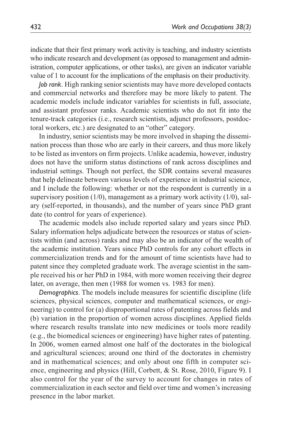indicate that their first primary work activity is teaching, and industry scientists who indicate research and development (as opposed to management and administration, computer applications, or other tasks), are given an indicator variable value of 1 to account for the implications of the emphasis on their productivity.

*Job rank*. High ranking senior scientists may have more developed contacts and commercial networks and therefore may be more likely to patent. The academic models include indicator variables for scientists in full, associate, and assistant professor ranks. Academic scientists who do not fit into the tenure-track categories (i.e., research scientists, adjunct professors, postdoctoral workers, etc.) are designated to an "other" category.

In industry, senior scientists may be more involved in shaping the dissemination process than those who are early in their careers, and thus more likely to be listed as inventors on firm projects. Unlike academia, however, industry does not have the uniform status distinctions of rank across disciplines and industrial settings. Though not perfect, the SDR contains several measures that help delineate between various levels of experience in industrial science, and I include the following: whether or not the respondent is currently in a supervisory position (1/0), management as a primary work activity (1/0), salary (self-reported, in thousands), and the number of years since PhD grant date (to control for years of experience).

The academic models also include reported salary and years since PhD. Salary information helps adjudicate between the resources or status of scientists within (and across) ranks and may also be an indicator of the wealth of the academic institution. Years since PhD controls for any cohort effects in commercialization trends and for the amount of time scientists have had to patent since they completed graduate work. The average scientist in the sample received his or her PhD in 1984, with more women receiving their degree later, on average, then men (1988 for women vs. 1983 for men).

*Demographics*. The models include measures for scientific discipline (life sciences, physical sciences, computer and mathematical sciences, or engineering) to control for (a) disproportional rates of patenting across fields and (b) variation in the proportion of women across disciplines. Applied fields where research results translate into new medicines or tools more readily (e.g., the biomedical sciences or engineering) have higher rates of patenting. In 2006, women earned almost one half of the doctorates in the biological and agricultural sciences; around one third of the doctorates in chemistry and in mathematical sciences; and only about one fifth in computer science, engineering and physics (Hill, Corbett, & St. Rose, 2010, Figure 9). I also control for the year of the survey to account for changes in rates of commercialization in each sector and field over time and women's increasing presence in the labor market.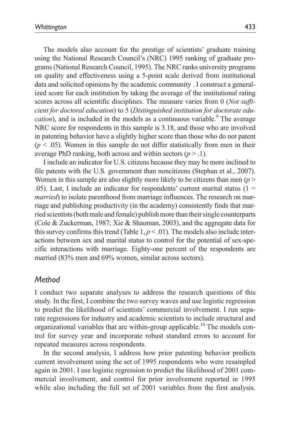The models also account for the prestige of scientists' graduate training using the National Research Council's (NRC) 1995 ranking of graduate programs (National Research Council, 1995). The NRC ranks university programs on quality and effectiveness using a 5-point scale derived from institutional data and solicited opinions by the academic community . I construct a generalized score for each institution by taking the average of the institutional rating scores across all scientific disciplines. The measure varies from 0 (*Not sufficient for doctoral education*) to 5 (*Distinguished institution for doctorate education*), and is included in the models as a continuous variable.<sup>9</sup> The average NRC score for respondents in this sample is 3.18, and those who are involved in patenting behavior have a slightly higher score than those who do not patent  $(p < .05)$ . Women in this sample do not differ statistically from men in their average PhD ranking, both across and within sectors  $(p > 0.1)$ .

I include an indicator for U.S. citizens because they may be more inclined to file patents with the U.S. government than noncitizens (Stephan et al., 2007). Women in this sample are also slightly more likely to be citizens than men  $(p >$ .05). Last, I include an indicator for respondents' current marital status ( $1 =$ *married*) to isolate parenthood from marriage influences. The research on marriage and publishing productivity (in the academy) consistently finds that married scientists (both male and female) publish more than their single counterparts (Cole & Zuckerman, 1987; Xie & Shauman, 2003), and the aggregate data for this survey confirms this trend (Table  $1, p < .01$ ). The models also include interactions between sex and marital status to control for the potential of sex-specific interactions with marriage. Eighty-one percent of the respondents are married (83% men and 69% women, similar across sectors).

### *Method*

I conduct two separate analyses to address the research questions of this study. In the first, I combine the two survey waves and use logistic regression to predict the likelihood of scientists' commercial involvement. I run separate regressions for industry and academic scientists to include structural and organizational variables that are within-group applicable.<sup>10</sup> The models control for survey year and incorporate robust standard errors to account for repeated measures across respondents.

In the second analysis, I address how prior patenting behavior predicts current involvement using the set of 1995 respondents who were resampled again in 2001. I use logistic regression to predict the likelihood of 2001 commercial involvement, and control for prior involvement reported in 1995 while also including the full set of 2001 variables from the first analysis.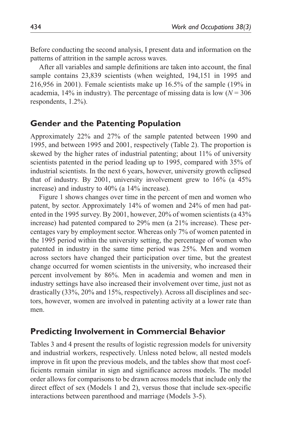Before conducting the second analysis, I present data and information on the patterns of attrition in the sample across waves.

After all variables and sample definitions are taken into account, the final sample contains 23,839 scientists (when weighted, 194,151 in 1995 and 216,956 in 2001). Female scientists make up 16.5% of the sample (19% in academia, 14% in industry). The percentage of missing data is low  $(N = 306$ respondents, 1.2%).

### **Gender and the Patenting Population**

Approximately 22% and 27% of the sample patented between 1990 and 1995, and between 1995 and 2001, respectively (Table 2). The proportion is skewed by the higher rates of industrial patenting; about 11% of university scientists patented in the period leading up to 1995, compared with 35% of industrial scientists. In the next 6 years, however, university growth eclipsed that of industry. By 2001, university involvement grew to 16% (a 45% increase) and industry to 40% (a 14% increase).

Figure 1 shows changes over time in the percent of men and women who patent, by sector. Approximately 14% of women and 24% of men had patented in the 1995 survey. By 2001, however, 20% of women scientists (a 43% increase) had patented compared to 29% men (a 21% increase). These percentages vary by employment sector. Whereas only 7% of women patented in the 1995 period within the university setting, the percentage of women who patented in industry in the same time period was 25%. Men and women across sectors have changed their participation over time, but the greatest change occurred for women scientists in the university, who increased their percent involvement by 86%. Men in academia and women and men in industry settings have also increased their involvement over time, just not as drastically (33%, 20% and 15%, respectively). Across all disciplines and sectors, however, women are involved in patenting activity at a lower rate than men.

## **Predicting Involvement in Commercial Behavior**

Tables 3 and 4 present the results of logistic regression models for university and industrial workers, respectively. Unless noted below, all nested models improve in fit upon the previous models, and the tables show that most coefficients remain similar in sign and significance across models. The model order allows for comparisons to be drawn across models that include only the direct effect of sex (Models 1 and 2), versus those that include sex-specific interactions between parenthood and marriage (Models 3-5).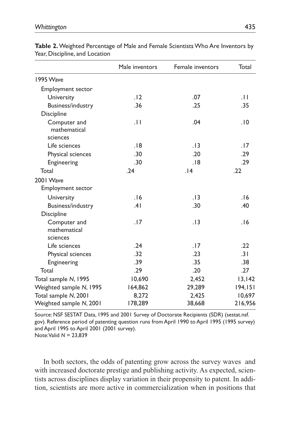|                                          | Male inventors | Female inventors | Total    |
|------------------------------------------|----------------|------------------|----------|
| 1995 Wave                                |                |                  |          |
| <b>Employment sector</b>                 |                |                  |          |
| University                               | .12            | .07              | .H       |
| Business/industry                        | .36            | .25              | .35      |
| <b>Discipline</b>                        |                |                  |          |
| Computer and<br>mathematical<br>sciences | .11            | .04              | .10      |
| Life sciences                            | .18            | .13              | .17      |
| Physical sciences                        | .30            | .20              | .29      |
| Engineering                              | .30            | .18              | .29      |
| Total                                    | .24            | .14              | .22      |
| 2001 Wave                                |                |                  |          |
| <b>Employment sector</b>                 |                |                  |          |
| University                               | .16            | .13              | 16.      |
| Business/industry                        | .41            | .30              | .40      |
| Discipline                               |                |                  |          |
| Computer and<br>mathematical<br>sciences | .17            | .13              | 16.      |
| Life sciences                            | .24            | .17              | .22      |
| Physical sciences                        | .32            | .23              | .31      |
| Engineering                              | .39            | .35              | .38      |
| Total                                    | .29            | .20              | .27      |
| Total sample N, 1995                     | 10,690         | 2,452            | 13,142   |
| Weighted sample N, 1995                  | 164,862        | 29,289           | 194, 151 |
| Total sample N, 2001                     | 8,272          | 2,425            | 10,697   |
| Weighted sample N, 2001                  | 178,289        | 38,668           | 216,956  |

**Table 2.** Weighted Percentage of Male and Female Scientists Who Are Inventors by Year, Discipline, and Location

Source: NSF SESTAT Data, 1995 and 2001 Survey of Doctorate Recipients (SDR) (sestat.nsf. gov). Reference period of patenting question runs from April 1990 to April 1995 (1995 survey) and April 1995 to April 2001 (2001 survey).

Note: Valid *N* = 23,839

In both sectors, the odds of patenting grow across the survey waves and with increased doctorate prestige and publishing activity. As expected, scientists across disciplines display variation in their propensity to patent. In addition, scientists are more active in commercialization when in positions that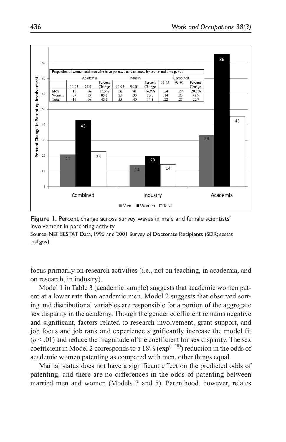



Source: NSF SESTAT Data, 1995 and 2001 Survey of Doctorate Recipients (SDR; sestat .nsf.gov).

focus primarily on research activities (i.e., not on teaching, in academia, and on research, in industry).

Model 1 in Table 3 (academic sample) suggests that academic women patent at a lower rate than academic men. Model 2 suggests that observed sorting and distributional variables are responsible for a portion of the aggregate sex disparity in the academy. Though the gender coefficient remains negative and significant, factors related to research involvement, grant support, and job focus and job rank and experience significantly increase the model fit  $(p < .01)$  and reduce the magnitude of the coefficient for sex disparity. The sex coefficient in Model 2 corresponds to a 18% ( $\exp^{(-20)}$ ) reduction in the odds of academic women patenting as compared with men, other things equal.

Marital status does not have a significant effect on the predicted odds of patenting, and there are no differences in the odds of patenting between married men and women (Models 3 and 5). Parenthood, however, relates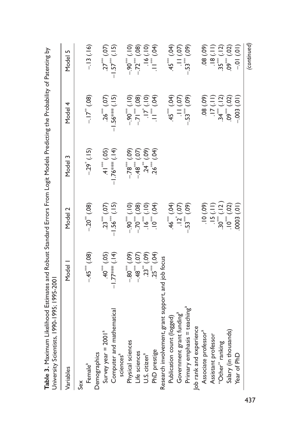| <b>Table 3.</b> Maximum Likelihood Estimates and Robust Standard Errors From Logit Models Predicting the Probability of Patenting by<br>University Scientists, 1990-1995; 1995-2001 |                                             |                                       |                          |                                                     |                                       |
|-------------------------------------------------------------------------------------------------------------------------------------------------------------------------------------|---------------------------------------------|---------------------------------------|--------------------------|-----------------------------------------------------|---------------------------------------|
| Variables                                                                                                                                                                           | Model                                       | Model 2                               | Model 3                  | Model 4                                             | Model 5                               |
| Sex                                                                                                                                                                                 |                                             |                                       |                          |                                                     |                                       |
| Female <sup>a</sup>                                                                                                                                                                 | $-45$ (.08)                                 | $-20^{**}$ (.08)                      | $-29$ <sup>*</sup> (.15) | $-.17^{**}(.08)$                                    | $-13(16)$                             |
| Demographics                                                                                                                                                                        |                                             |                                       |                          |                                                     |                                       |
| Survey year $= 2001a$                                                                                                                                                               | $(20)$ $*$                                  | $.23*** (.07)$                        | $(41^{***} (05))$        | $.26^{***} (.07)$                                   | $.27^{***}(.07)$                      |
| Computer and mathematical                                                                                                                                                           | (4)                                         | $-1.56$ (.15)                         | $-1.76***$ (.14)         | $-1.56***(15)$                                      | $-1.57***(15)$                        |
| sciences <sup>a</sup>                                                                                                                                                               |                                             |                                       |                          |                                                     |                                       |
| Physical sciences                                                                                                                                                                   | $(60)$ $^{***}$ $(09)$                      | $(01')$ $66 -$                        | $(60)$ $*87 -$           | $(01')$ $_{\text{max}}$ 06 <sup>-</sup>             | $(01')$ $^{***}$ $(06)'$              |
| Life sciences                                                                                                                                                                       |                                             | (0.06)<br>$-70^{***}$                 | $(-0.01)$                |                                                     | $-.72^{***}$ (.08)                    |
| U.S. citizen <sup>a</sup>                                                                                                                                                           | $-48^{***}$ (.07)<br>.23 <sup>*</sup> (.09) | (10)<br>ँ<br>। 6 ।<br>.               | $(60)$ $*$ 74            | $-71$ <sup>***</sup> (.08)<br>(80)<br>$\frac{1}{2}$ | 16(.10)                               |
| PhD prestige                                                                                                                                                                        | $.25^{***}$ $(.04)$                         | (0.04)<br>。<br>10.                    | (0.04)<br>$26^{***}$     | (04)<br>$\sum_{n=1}^{\infty}$                       | (04)<br>$\sum_{i=1}^{n}$              |
| Research involvement, grant support, and job focus                                                                                                                                  |                                             |                                       |                          |                                                     |                                       |
| Publication count (logged)                                                                                                                                                          |                                             | $(46)$ (.04)                          |                          | $(45)$ (.04)                                        | $(45^{10})$                           |
| Government grant funding"                                                                                                                                                           |                                             | $.12^{*}$ (.07)                       |                          | $(10)$   I                                          | $(11)$ (.07)                          |
| Primary emphasis = teaching <sup>a</sup>                                                                                                                                            |                                             | (09)<br>$-53$ <sup>***</sup>          |                          | $-53^{***}$ (.09)                                   | (0.0)<br>$-53^{***}$                  |
| ob rank and experience                                                                                                                                                              |                                             |                                       |                          |                                                     |                                       |
| Associate professor <sup>4</sup>                                                                                                                                                    |                                             | $(60)$ 01.                            |                          | (60')80                                             | $(60)$ 80.                            |
| Assistant professor                                                                                                                                                                 |                                             |                                       |                          | $(11)$ (iii)                                        |                                       |
| "Other" ranking                                                                                                                                                                     |                                             | $.15(.11)$<br>30 <sup>***</sup> (.12) |                          | $.34^{***}(.12)$                                    | $.18(.11)$<br>35 <sup>***</sup> (.12) |
| Salary (in thousands)                                                                                                                                                               |                                             | (02)<br>$\sum_{n=1}^{\infty}$         |                          | (02)<br>$50^{\frac{2}{3}}$                          | (.02)<br>$\overline{\phantom{0}}$     |
| Year of PhD                                                                                                                                                                         |                                             | 0003(01)                              |                          | $-003(01)$                                          | $-0.01(0.1)$                          |
|                                                                                                                                                                                     |                                             |                                       |                          |                                                     | (continued)                           |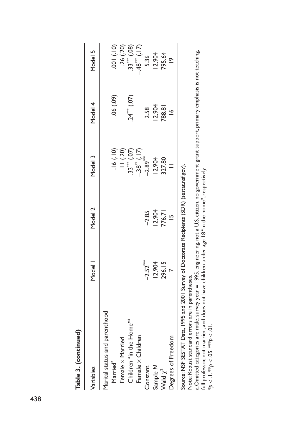| Table 3. (continued)                                                                                                                              |                         |               |                  |                  |                   |
|---------------------------------------------------------------------------------------------------------------------------------------------------|-------------------------|---------------|------------------|------------------|-------------------|
| Variables                                                                                                                                         | Model I                 | Model 2       | Model 3          | Model 4          | Model 5           |
| Marital status and parenthood                                                                                                                     |                         |               |                  |                  |                   |
| Married <sup>a</sup>                                                                                                                              |                         |               | $(01)$ 91.       | $(60')$ 90.      | (01) 100          |
| Female x Married                                                                                                                                  |                         |               | .11(.20)         |                  | .26(.20)          |
| Children "in the Home" <sup>a</sup>                                                                                                               |                         |               | (0.07)           | $.24^{***}(.07)$ | $.33^{***}$ (.08) |
| Female x Children                                                                                                                                 |                         |               | $-.38^{**}(.17)$ |                  | $(11')$ *** (.17) |
| Constant                                                                                                                                          | $-2.52$ <sup>****</sup> | $-2.85$       | $-2.89***$       | 2.58             | 5.36              |
| Sample N                                                                                                                                          | 12,904                  | 12,904        | 12,904           | 12,904           | 12,904            |
| Wald $\chi^2$                                                                                                                                     | 296.15                  | 776.71        | 327.80           | 788.81           | 795.64            |
| Degrees of Freedom                                                                                                                                |                         | $\frac{5}{1}$ |                  | $\tilde{=}$      | $\overline{C}$    |
| Source: NSF SESTAT Data, 1995 and 2001 Survey of Doctorate Recipients (SDR) (sestat.nsf.gov).<br>Note: Robust standard errors are in parentheses. |                         |               |                  |                  |                   |

Note: Robust standard errors are in parentheses.

ו יעבודי בשנים.<br>A.Omitted categories are male, survey year = 1995, engineering, not a U.S. citizen, no government grant support, primary emphasis is not teaching, a.Omitted categories are male, survey year = 1995, engineering, not a U.S. citizen, no government grant support, primary emphasis is not teaching, full professor, not married, and does not have children under age 18 "in the home", respectively.<br>\*p < .1. \*\*p < .05. \*\*\*p < .01. full professor, not married, and does not have children under age 18 "in the home", respectively. \**p* < .1. \*\**p* < .05. \*\*\**p* < .01.

438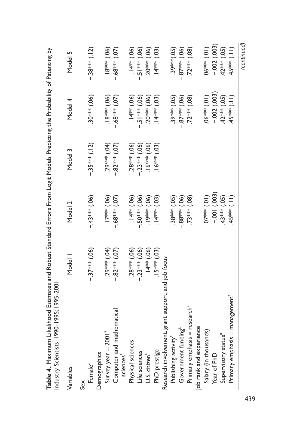| lable 4. Maximum Likelihood Estimates and Kobust Standard Errors From Logit Models Predicting the Probability of Patenting by<br>Industry Scientists, 1990-1995; 1995-2001 |                        |                    |                |                   |                  |
|----------------------------------------------------------------------------------------------------------------------------------------------------------------------------|------------------------|--------------------|----------------|-------------------|------------------|
| Variables                                                                                                                                                                  | Model                  | Model 2            | Model 3        | Model 4           | Model 5          |
| Sex                                                                                                                                                                        |                        |                    |                |                   |                  |
| Female <sup>a</sup>                                                                                                                                                        | $-37***$ (.06)         | $-43***$ (.06)     | $-35***$ (.12) | $.30*** (.06)$    | $-38***$ (.12)   |
| Demographics                                                                                                                                                               |                        |                    |                |                   |                  |
| Survey year $= 2001a$                                                                                                                                                      | 199**** (.04)          | $17***$ (.06)      | (04)           | $.18***(.06)$     | $18*** (06)$     |
| Computer and mathematical                                                                                                                                                  | $(50^{+1.07}_{-0.07})$ | $(50)$ $(07)$      | $-82***$ (.07) | $(20)$ ***89.     | $(20)$ ***89.    |
| sciences <sup>a</sup>                                                                                                                                                      |                        |                    |                |                   |                  |
| Physical sciences                                                                                                                                                          | 28**** (.06)           | $14**$ (.06)       | $.28*** (.06)$ | $14**$ (.06)      | $.14**$ (.06)    |
| Life sciences                                                                                                                                                              | $-23***$ (.06)         | $-50***$ (.06)     | $-23***$ (.06) | (06)              | $-51***$ (.06)   |
| U.S. citizen <sup>a</sup>                                                                                                                                                  | $.14**$ (.06)          | $(90)$ ***         | $16*** (06)$   | $20***$ (.06)     | $20*** (06)$     |
| PhD prestige                                                                                                                                                               | $.15*** (.03)$         | $14***$ (03)       | $.16*** (03)$  | $14*** (03)$      | $(14*** (03))$   |
| Research involvement, grant support, and job focus                                                                                                                         |                        |                    |                |                   |                  |
| Publishing activity <sup>a</sup>                                                                                                                                           |                        | 38**** (.05)       |                | $39*** (05)$      | $.39*** (05)$    |
| Government funding <sup>a</sup>                                                                                                                                            |                        | $-88***$ (.06)     |                | $-87***$ (.06)    | $-87***$ (.06)   |
| Primary emphasis = research <sup>a</sup>                                                                                                                                   |                        | $73***$ (.08)      |                | $.72***(.08)$     | $72***$ (.08)    |
| Job rank and experience                                                                                                                                                    |                        |                    |                |                   |                  |
| Salary (in thousands)                                                                                                                                                      |                        | $(10)$ **** $(01)$ |                | $(10)$ *** $(01)$ | $(0.01$ $(0.01)$ |
| Year of PhD                                                                                                                                                                |                        | $(-001)(003)$      |                | $-0.002(0.003)$   | $-0.002(0.003)$  |
| Supervisory status <sup>a</sup>                                                                                                                                            |                        | (25)               |                | $(42*** (05))$    | $.42***(.05)$    |
| Primary emphasis = management <sup>a</sup>                                                                                                                                 |                        | $45***$ (11)       |                | (11)              | (11)             |
|                                                                                                                                                                            |                        |                    |                |                   | (continued)      |

**Table 4.** Maximum Likelihood Estimates and Robust Standard Errors From Logit Models Predicting the Probability of Patenting by Ċ  $\cdot$ í, L  $\epsilon$ f. í. ă  $\overline{\cdot}$ Ė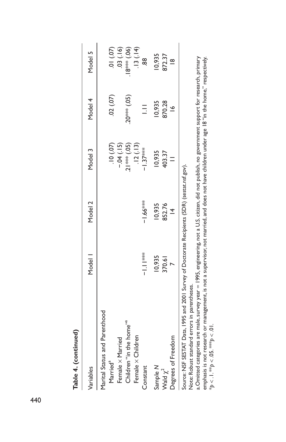| Variables                                                                                     | Model 1  | Model 2       | Model 3       | Model 4       | Model 5                 |
|-----------------------------------------------------------------------------------------------|----------|---------------|---------------|---------------|-------------------------|
| Marital Status and Parenthood                                                                 |          |               |               |               |                         |
| Married <sup>a</sup>                                                                          |          |               | (0.07)        | (02, 07)      | $(20)$ $10$             |
| Female x Married                                                                              |          |               | $-0.04(15)$   |               | $(91)$ $50$ .           |
| Children "in the home" <sup>a</sup>                                                           |          |               | $.21***(.05)$ | $20*** (05)$  | $8*** (06)$             |
| Female x Children                                                                             |          |               | .12(.13)      |               | .13(.14)                |
| Constant                                                                                      | **<br>二二 | -1.66***      | $-1.37***$    | E             | 88                      |
| Sample N                                                                                      | 10,935   | 10,935        | 10,935        | 10,935        | 10,935                  |
| Wald $\chi^2$                                                                                 | 370.61   | 852.76        | 403.37        | 870.28        | 872.37                  |
| Degrees of Freedom                                                                            |          | $\frac{4}{1}$ |               | $\frac{8}{1}$ | $\frac{\infty}{\infty}$ |
| Source: NSF SESTAT Data, 1995 and 2001 Survey of Doctorate Recipients (SDR) (sestat.nsf.gov). |          |               |               |               |                         |

Note: Robust standard errors in parentheses. Note: Robust standard errors in parentheses.

a Omitted categories are male, survey year = 1995, engineering, not a U.S. citizen, did not publish, no government support for research, primary a.Omitted categories are male, survey year = 1995, engineering, not a U.S. citizen, did not publish, no government support for research, primary emphasis is not research or management, is not a supervisor, not married, and does not have children under age 18 "in the home," respectively. emphasis is not research or management, is not a supervisor, not married, and does not have children under age 18 "in the home," respectively. \* $p < 1$ , \*\* $p < 0.5$ , \*\*\* $p < 0.1$ . \**p* < .1. \*\**p* < .05. \*\*\**p* < .01.

### 440

**Table 4. (continued)**

Table 4. (continued)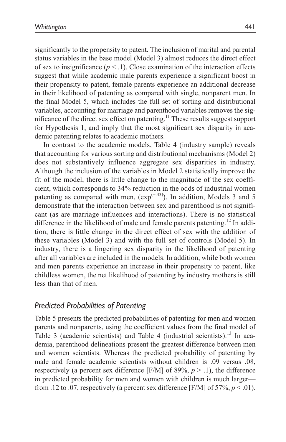significantly to the propensity to patent. The inclusion of marital and parental status variables in the base model (Model 3) almost reduces the direct effect of sex to insignificance  $(p < 0.1)$ . Close examination of the interaction effects suggest that while academic male parents experience a significant boost in their propensity to patent, female parents experience an additional decrease in their likelihood of patenting as compared with single, nonparent men. In the final Model 5, which includes the full set of sorting and distributional variables, accounting for marriage and parenthood variables removes the significance of the direct sex effect on patenting.<sup>11</sup> These results suggest support for Hypothesis 1, and imply that the most significant sex disparity in academic patenting relates to academic mothers.

In contrast to the academic models, Table 4 (industry sample) reveals that accounting for various sorting and distributional mechanisms (Model 2) does not substantively influence aggregate sex disparities in industry. Although the inclusion of the variables in Model 2 statistically improve the fit of the model, there is little change to the magnitude of the sex coefficient, which corresponds to 34% reduction in the odds of industrial women patenting as compared with men,  $(\exp^{(-43)})$ . In addition, Models 3 and 5 demonstrate that the interaction between sex and parenthood is not significant (as are marriage influences and interactions). There is no statistical difference in the likelihood of male and female parents patenting.<sup>12</sup> In addition, there is little change in the direct effect of sex with the addition of these variables (Model 3) and with the full set of controls (Model 5). In industry, there is a lingering sex disparity in the likelihood of patenting after all variables are included in the models. In addition, while both women and men parents experience an increase in their propensity to patent, like childless women, the net likelihood of patenting by industry mothers is still less than that of men.

### *Predicted Probabilities of Patenting*

Table 5 presents the predicted probabilities of patenting for men and women parents and nonparents, using the coefficient values from the final model of Table 3 (academic scientists) and Table 4 (industrial scientists).<sup>13</sup> In academia, parenthood delineations present the greatest difference between men and women scientists. Whereas the predicted probability of patenting by male and female academic scientists without children is .09 versus .08, respectively (a percent sex difference [F/M] of 89%,  $p > 0.1$ ), the difference in predicted probability for men and women with children is much larger from .12 to .07, respectively (a percent sex difference [F/M] of  $57\%, p < .01$ ).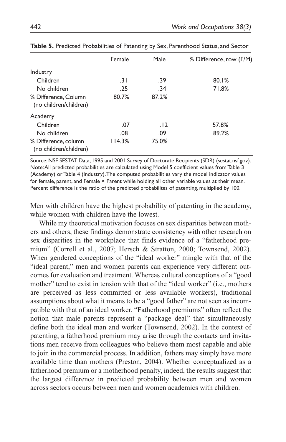|                                                | Female | Male  | % Difference, row (F/M) |
|------------------------------------------------|--------|-------|-------------------------|
| Industry                                       |        |       |                         |
| Children                                       | .31    | .39   | 80.1%                   |
| No children                                    | .25    | .34   | 71.8%                   |
| % Difference, Column<br>(no children/children) | 80.7%  | 87.2% |                         |
| Academy                                        |        |       |                         |
| Children                                       | .07    | .12   | 57.8%                   |
| No children                                    | .08    | .09   | 89.2%                   |
| % Difference, column<br>(no children/children) | 114.3% | 75.0% |                         |

**Table 5.** Predicted Probabilities of Patenting by Sex, Parenthood Status, and Sector

Source: NSF SESTAT Data, 1995 and 2001 Survey of Doctorate Recipients (SDR) (sestat.nsf.gov). Note: All predicted probabilities are calculated using Model 5 coefficient values from Table 3 (Academy) or Table 4 (Industry). The computed probabilities vary the model indicator values for female, parent, and Female × Parent while holding all other variable values at their mean. Percent difference is the ratio of the predicted probabilites of patenting, multiplied by 100.

Men with children have the highest probability of patenting in the academy, while women with children have the lowest.

While my theoretical motivation focuses on sex disparities between mothers and others, these findings demonstrate consistency with other research on sex disparities in the workplace that finds evidence of a "fatherhood premium" (Correll et al., 2007; Hersch & Stratton, 2000; Townsend, 2002). When gendered conceptions of the "ideal worker" mingle with that of the "ideal parent," men and women parents can experience very different outcomes for evaluation and treatment. Whereas cultural conceptions of a "good mother" tend to exist in tension with that of the "ideal worker" (i.e., mothers are perceived as less committed or less available workers), traditional assumptions about what it means to be a "good father" are not seen as incompatible with that of an ideal worker. "Fatherhood premiums" often reflect the notion that male parents represent a "package deal" that simultaneously define both the ideal man and worker (Townsend, 2002). In the context of patenting, a fatherhood premium may arise through the contacts and invitations men receive from colleagues who believe them most capable and able to join in the commercial process. In addition, fathers may simply have more available time than mothers (Preston, 2004). Whether conceptualized as a fatherhood premium or a motherhood penalty, indeed, the results suggest that the largest difference in predicted probability between men and women across sectors occurs between men and women academics with children.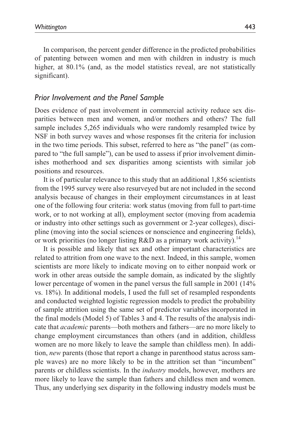In comparison, the percent gender difference in the predicted probabilities of patenting between women and men with children in industry is much higher, at 80.1% (and, as the model statistics reveal, are not statistically significant).

#### *Prior Involvement and the Panel Sample*

Does evidence of past involvement in commercial activity reduce sex disparities between men and women, and/or mothers and others? The full sample includes 5,265 individuals who were randomly resampled twice by NSF in both survey waves and whose responses fit the criteria for inclusion in the two time periods. This subset, referred to here as "the panel" (as compared to "the full sample"), can be used to assess if prior involvement diminishes motherhood and sex disparities among scientists with similar job positions and resources.

It is of particular relevance to this study that an additional 1,856 scientists from the 1995 survey were also resurveyed but are not included in the second analysis because of changes in their employment circumstances in at least one of the following four criteria: work status (moving from full to part-time work, or to not working at all), employment sector (moving from academia or industry into other settings such as government or 2-year colleges), discipline (moving into the social sciences or nonscience and engineering fields), or work priorities (no longer listing R&D as a primary work activity).<sup>14</sup>

It is possible and likely that sex and other important characteristics are related to attrition from one wave to the next. Indeed, in this sample, women scientists are more likely to indicate moving on to either nonpaid work or work in other areas outside the sample domain, as indicated by the slightly lower percentage of women in the panel versus the full sample in 2001 (14% vs. 18%). In additional models, I used the full set of resampled respondents and conducted weighted logistic regression models to predict the probability of sample attrition using the same set of predictor variables incorporated in the final models (Model 5) of Tables 3 and 4. The results of the analysis indicate that *academic* parents—both mothers and fathers—are no more likely to change employment circumstances than others (and in addition, childless women are no more likely to leave the sample than childless men). In addition, *new* parents (those that report a change in parenthood status across sample waves) are no more likely to be in the attrition set than "incumbent" parents or childless scientists. In the *industry* models, however, mothers are more likely to leave the sample than fathers and childless men and women. Thus, any underlying sex disparity in the following industry models must be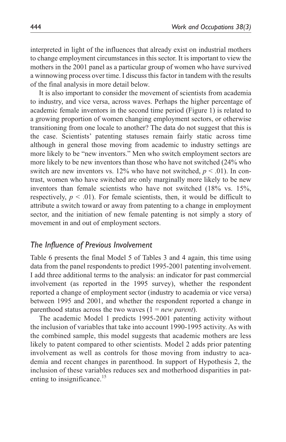interpreted in light of the influences that already exist on industrial mothers to change employment circumstances in this sector. It is important to view the mothers in the 2001 panel as a particular group of women who have survived a winnowing process over time. I discuss this factor in tandem with the results of the final analysis in more detail below.

It is also important to consider the movement of scientists from academia to industry, and vice versa, across waves. Perhaps the higher percentage of academic female inventors in the second time period (Figure 1) is related to a growing proportion of women changing employment sectors, or otherwise transitioning from one locale to another? The data do not suggest that this is the case. Scientists' patenting statuses remain fairly static across time although in general those moving from academic to industry settings are more likely to be "new inventors." Men who switch employment sectors are more likely to be new inventors than those who have not switched (24% who switch are new inventors vs.  $12\%$  who have not switched,  $p < .01$ ). In contrast, women who have switched are only marginally more likely to be new inventors than female scientists who have not switched (18% vs. 15%, respectively,  $p < .01$ ). For female scientists, then, it would be difficult to attribute a switch toward or away from patenting to a change in employment sector, and the initiation of new female patenting is not simply a story of movement in and out of employment sectors.

### *The Influence of Previous Involvement*

Table 6 presents the final Model 5 of Tables 3 and 4 again, this time using data from the panel respondents to predict 1995-2001 patenting involvement. I add three additional terms to the analysis: an indicator for past commercial involvement (as reported in the 1995 survey), whether the respondent reported a change of employment sector (industry to academia or vice versa) between 1995 and 2001, and whether the respondent reported a change in parenthood status across the two waves (1 = *new parent*).

The academic Model 1 predicts 1995-2001 patenting activity without the inclusion of variables that take into account 1990-1995 activity. As with the combined sample, this model suggests that academic mothers are less likely to patent compared to other scientists. Model 2 adds prior patenting involvement as well as controls for those moving from industry to academia and recent changes in parenthood. In support of Hypothesis 2, the inclusion of these variables reduces sex and motherhood disparities in patenting to insignificance.<sup>15</sup>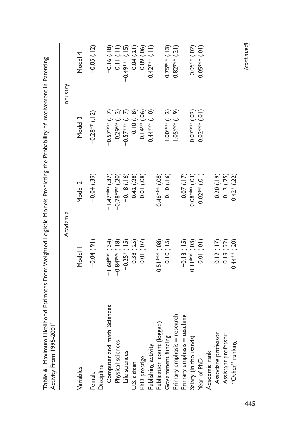| Table 6. Maximum Likelihood Estimates From Weighted Logistic Models Predicting the Probability of Involvement in Patenting<br>Activity From 1995-2001 <sup>ª</sup> |                  |                  |                     |                  |
|--------------------------------------------------------------------------------------------------------------------------------------------------------------------|------------------|------------------|---------------------|------------------|
|                                                                                                                                                                    |                  | Academia         | Industry            |                  |
| Variables                                                                                                                                                          | Model            | Model 2          | Model 3             | Model 4          |
| Female                                                                                                                                                             | $-0.04(91)$      | $-0.04(39)$      | $-0.28***$ (.12)    | $-0.05(12)$      |
| Discipline                                                                                                                                                         |                  |                  |                     |                  |
| Computer and math. Sciences                                                                                                                                        | $-1.68***$ (.34) | $-1.47***$ (.37) | $-0.57***(1.7)$     | $-0.16(.18)$     |
| Physical sciences                                                                                                                                                  | $-0.84***$ (.18) | $-0.78***$ (.20) | $0.29***$ (.12)     | 0.11(11)         |
| Life sciences                                                                                                                                                      | $-0.25*(.15)$    | $-0.18(.16)$     | $-0.57***$ (.17)    | $\frac{15}{15}$  |
| U.S. citizen                                                                                                                                                       | 0.38(.25)        | 0.42(0.28)       | 0.10(18)            | 0.04(21)         |
| PhD prestige                                                                                                                                                       | $(50)$ (-07)     | $(80)$ $(0.01)$  | $0.14**$ (.06)      | 0.09(0.06)       |
| Publishing activity                                                                                                                                                |                  |                  | $0.44***$ (.10)     | (11)             |
| Publication count (logged)                                                                                                                                         | $0.51*** (0.8)$  | $0.46***$ (.08)  |                     |                  |
| Government funding                                                                                                                                                 | 0.10(.15)        | 0.10(.16)        | $-1.00$ ** $(0.12)$ | $-0.75***$ (.13) |
| Primary emphasis = research                                                                                                                                        |                  |                  | $1.05***$ (.19)     | $0.82***$ (.21)  |
| Primary emphasis = teaching                                                                                                                                        | $-0.13(15)$      | $(11)$ (0.00     |                     |                  |
| Salary (in thousands)                                                                                                                                              | $0.11***$ (0.03) | $0.08***$ (.03)  | $0.07***$ (.02)     | $0.05***(02)$    |
| Year of PhD                                                                                                                                                        | (0.01, 0.01)     | $0.02***(01)$    | $0.02***(01)$       | $0.05***(01)$    |
| Academic rank                                                                                                                                                      |                  |                  |                     |                  |
| Associate professor                                                                                                                                                | 0.12(17)         | $(61)$ 0.20      |                     |                  |
| Assistant professor                                                                                                                                                | 0.19(22)         | 0.13(25)         |                     |                  |
| "Other" ranking                                                                                                                                                    | $0.44**$ (.20)   | $0.42*(.22)$     |                     |                  |
|                                                                                                                                                                    |                  |                  |                     |                  |

*(continued)*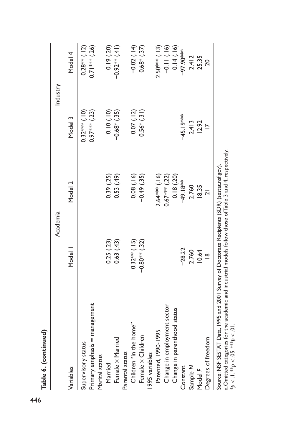|                                                                                               | Academia                |                 | Industry        |                 |
|-----------------------------------------------------------------------------------------------|-------------------------|-----------------|-----------------|-----------------|
| Variables                                                                                     | Model                   | Model 2         | Model 3         | Model 4         |
| Supervisory status                                                                            |                         |                 | $0.32***$ (.10) | $0.28**$ (.12)  |
| Primary emphasis = management                                                                 |                         |                 | $0.97***$ (.23) | $0.71***$ (.26) |
| Marital status                                                                                |                         |                 |                 |                 |
| Married                                                                                       | 0.25(23)                | 0.39(0.25)      | 0.10(10)        | 0.19(20)        |
| Female x Married                                                                              | 0.63(43)                | $(64)$ $53$     | $-0.68*(.35)$   | $-0.92**$ (41)  |
| Parental status                                                                               |                         |                 |                 |                 |
| Children "in the home"                                                                        | $0.32***$ (.15)         | 0.08(.16)       | 0.07(.12)       | $-0.02$ (.14)   |
| Female $\times$ Children                                                                      | $-0.80**$ (.32)         | $-0.49(0.35)$   | $0.56*(.31)$    | $0.68*(.37)$    |
| 1995 variables                                                                                |                         |                 |                 |                 |
| Patented, 1990-1995                                                                           |                         | $2.64***$ (.16) |                 | $2.50***$ (.13) |
| Change in employment sector                                                                   |                         | $0.67***$ (.22) |                 | $-0.11(6)$      |
| Change in parenthood status                                                                   |                         | 0.18(20)        |                 | 0.14(.16)       |
| Constant                                                                                      | $-28.22$                | $-49.18**$      | $-45.19***$     | $-97.90***$     |
| Sample N                                                                                      | 2,760                   | 2,760           | 2,413           | 2,412           |
| Model F                                                                                       | 10.64                   | 18.35           | 12.92           | 25.35           |
| Degrees of freedom                                                                            | $\frac{\infty}{\infty}$ |                 |                 | $\overline{20}$ |
| Source: NSF SESTAT Data, 1995 and 2001 Survey of Doctorate Recipients (SDR) (sestat.nsf.gov). |                         |                 |                 |                 |

Source: NSF SESTAT Data, 1995 and 2001 Survey of Doctorate Kecipients (SDK) (sestat.nsr.gov).<br>a.Omitted categories for the academic and industrial models follow those of Table 3 and 4, respectively.<br>\*p < .1. \*\*p < .05. \* a.Omitted categories for the academic and industrial models follow those of Table 3 and 4, respectively. Source: NSF SESTAT Data, 1995 and 2001 Survey of Doctorate Recipients (SDR) (sestat.nsf.gov). \**p* < .1. \*\**p* < .05. \*\*\**p* < .01.

446

**Table 6. (continued)**

Table 6. (continued)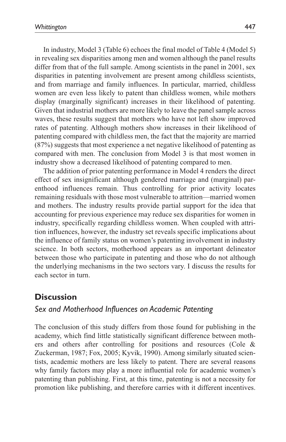In industry, Model 3 (Table 6) echoes the final model of Table 4 (Model 5) in revealing sex disparities among men and women although the panel results differ from that of the full sample. Among scientists in the panel in 2001, sex disparities in patenting involvement are present among childless scientists, and from marriage and family influences. In particular, married, childless women are even less likely to patent than childless women, while mothers display (marginally significant) increases in their likelihood of patenting. Given that industrial mothers are more likely to leave the panel sample across waves, these results suggest that mothers who have not left show improved rates of patenting. Although mothers show increases in their likelihood of patenting compared with childless men, the fact that the majority are married (87%) suggests that most experience a net negative likelihood of patenting as compared with men. The conclusion from Model 3 is that most women in industry show a decreased likelihood of patenting compared to men.

The addition of prior patenting performance in Model 4 renders the direct effect of sex insignificant although gendered marriage and (marginal) parenthood influences remain. Thus controlling for prior activity locates remaining residuals with those most vulnerable to attrition—married women and mothers. The industry results provide partial support for the idea that accounting for previous experience may reduce sex disparities for women in industry, specifically regarding childless women. When coupled with attrition influences, however, the industry set reveals specific implications about the influence of family status on women's patenting involvement in industry science. In both sectors, motherhood appears as an important delineator between those who participate in patenting and those who do not although the underlying mechanisms in the two sectors vary. I discuss the results for each sector in turn.

## **Discussion**

### *Sex and Motherhood Influences on Academic Patenting*

The conclusion of this study differs from those found for publishing in the academy, which find little statistically significant difference between mothers and others after controlling for positions and resources (Cole & Zuckerman, 1987; Fox, 2005; Kyvik, 1990). Among similarly situated scientists, academic mothers are less likely to patent. There are several reasons why family factors may play a more influential role for academic women's patenting than publishing. First, at this time, patenting is not a necessity for promotion like publishing, and therefore carries with it different incentives.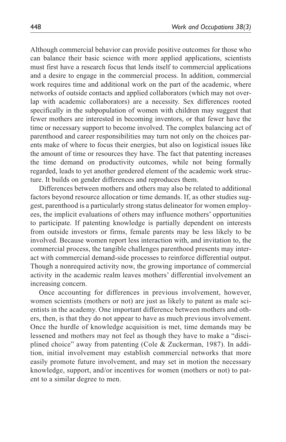Although commercial behavior can provide positive outcomes for those who can balance their basic science with more applied applications, scientists must first have a research focus that lends itself to commercial applications and a desire to engage in the commercial process. In addition, commercial work requires time and additional work on the part of the academic, where networks of outside contacts and applied collaborators (which may not overlap with academic collaborators) are a necessity. Sex differences rooted specifically in the subpopulation of women with children may suggest that fewer mothers are interested in becoming inventors, or that fewer have the time or necessary support to become involved. The complex balancing act of parenthood and career responsibilities may turn not only on the choices parents make of where to focus their energies, but also on logistical issues like the amount of time or resources they have. The fact that patenting increases the time demand on productivity outcomes, while not being formally regarded, leads to yet another gendered element of the academic work structure. It builds on gender differences and reproduces them.

Differences between mothers and others may also be related to additional factors beyond resource allocation or time demands. If, as other studies suggest, parenthood is a particularly strong status delineator for women employees, the implicit evaluations of others may influence mothers' opportunities to participate. If patenting knowledge is partially dependent on interests from outside investors or firms, female parents may be less likely to be involved. Because women report less interaction with, and invitation to, the commercial process, the tangible challenges parenthood presents may interact with commercial demand-side processes to reinforce differential output. Though a nonrequired activity now, the growing importance of commercial activity in the academic realm leaves mothers' differential involvement an increasing concern.

Once accounting for differences in previous involvement, however, women scientists (mothers or not) are just as likely to patent as male scientists in the academy. One important difference between mothers and others, then, is that they do not appear to have as much previous involvement. Once the hurdle of knowledge acquisition is met, time demands may be lessened and mothers may not feel as though they have to make a "disciplined choice" away from patenting (Cole & Zuckerman, 1987). In addition, initial involvement may establish commercial networks that more easily promote future involvement, and may set in motion the necessary knowledge, support, and/or incentives for women (mothers or not) to patent to a similar degree to men.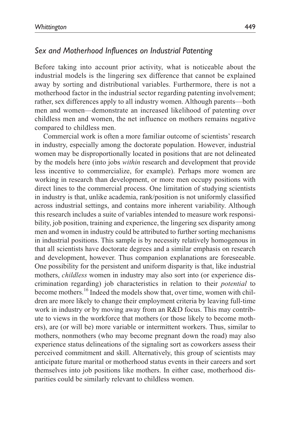### *Sex and Motherhood Influences on Industrial Patenting*

Before taking into account prior activity, what is noticeable about the industrial models is the lingering sex difference that cannot be explained away by sorting and distributional variables. Furthermore, there is not a motherhood factor in the industrial sector regarding patenting involvement; rather, sex differences apply to all industry women. Although parents—both men and women—demonstrate an increased likelihood of patenting over childless men and women, the net influence on mothers remains negative compared to childless men.

Commercial work is often a more familiar outcome of scientists' research in industry, especially among the doctorate population. However, industrial women may be disproportionally located in positions that are not delineated by the models here (into jobs *within* research and development that provide less incentive to commercialize, for example). Perhaps more women are working in research than development, or more men occupy positions with direct lines to the commercial process. One limitation of studying scientists in industry is that, unlike academia, rank/position is not uniformly classified across industrial settings, and contains more inherent variability. Although this research includes a suite of variables intended to measure work responsibility, job position, training and experience, the lingering sex disparity among men and women in industry could be attributed to further sorting mechanisms in industrial positions. This sample is by necessity relatively homogenous in that all scientists have doctorate degrees and a similar emphasis on research and development, however. Thus companion explanations are foreseeable. One possibility for the persistent and uniform disparity is that, like industrial mothers, *childless* women in industry may also sort into (or experience discrimination regarding) job characteristics in relation to their *potential* to become mothers.<sup>16</sup> Indeed the models show that, over time, women with children are more likely to change their employment criteria by leaving full-time work in industry or by moving away from an R&D focus. This may contribute to views in the workforce that mothers (or those likely to become mothers), are (or will be) more variable or intermittent workers. Thus, similar to mothers, nonmothers (who may become pregnant down the road) may also experience status delineations of the signaling sort as coworkers assess their perceived commitment and skill. Alternatively, this group of scientists may anticipate future marital or motherhood status events in their careers and sort themselves into job positions like mothers. In either case, motherhood disparities could be similarly relevant to childless women.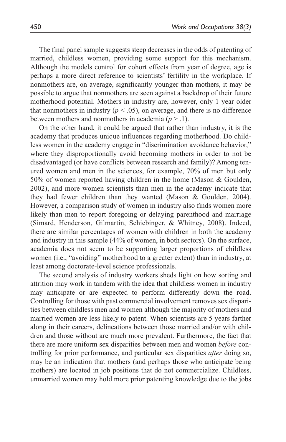The final panel sample suggests steep decreases in the odds of patenting of married, childless women, providing some support for this mechanism. Although the models control for cohort effects from year of degree, age is perhaps a more direct reference to scientists' fertility in the workplace. If nonmothers are, on average, significantly younger than mothers, it may be possible to argue that nonmothers are seen against a backdrop of their future motherhood potential. Mothers in industry are, however, only 1 year older that nonmothers in industry  $(p < .05)$ , on average, and there is no difference between mothers and nonmothers in academia  $(p > 0.1)$ .

On the other hand, it could be argued that rather than industry, it is the academy that produces unique influences regarding motherhood. Do childless women in the academy engage in "discrimination avoidance behavior," where they disproportionally avoid becoming mothers in order to not be disadvantaged (or have conflicts between research and family)? Among tenured women and men in the sciences, for example, 70% of men but only 50% of women reported having children in the home (Mason & Goulden, 2002), and more women scientists than men in the academy indicate that they had fewer children than they wanted (Mason & Goulden, 2004). However, a comparison study of women in industry also finds women more likely than men to report foregoing or delaying parenthood and marriage (Simard, Henderson, Gilmartin, Schiebinger, & Whitney, 2008). Indeed, there are similar percentages of women with children in both the academy and industry in this sample (44% of women, in both sectors). On the surface, academia does not seem to be supporting larger proportions of childless women (i.e., "avoiding" motherhood to a greater extent) than in industry, at least among doctorate-level science professionals.

The second analysis of industry workers sheds light on how sorting and attrition may work in tandem with the idea that childless women in industry may anticipate or are expected to perform differently down the road. Controlling for those with past commercial involvement removes sex disparities between childless men and women although the majority of mothers and married women are less likely to patent. When scientists are 5 years farther along in their careers, delineations between those married and/or with children and those without are much more prevalent. Furthermore, the fact that there are more uniform sex disparities between men and women *before* controlling for prior performance, and particular sex disparities *after* doing so, may be an indication that mothers (and perhaps those who anticipate being mothers) are located in job positions that do not commercialize. Childless, unmarried women may hold more prior patenting knowledge due to the jobs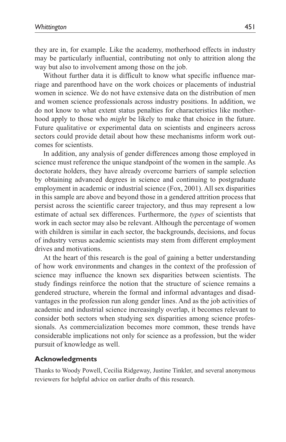they are in, for example. Like the academy, motherhood effects in industry may be particularly influential, contributing not only to attrition along the way but also to involvement among those on the job.

Without further data it is difficult to know what specific influence marriage and parenthood have on the work choices or placements of industrial women in science. We do not have extensive data on the distribution of men and women science professionals across industry positions. In addition, we do not know to what extent status penalties for characteristics like motherhood apply to those who *might* be likely to make that choice in the future. Future qualitative or experimental data on scientists and engineers across sectors could provide detail about how these mechanisms inform work outcomes for scientists.

In addition, any analysis of gender differences among those employed in science must reference the unique standpoint of the women in the sample. As doctorate holders, they have already overcome barriers of sample selection by obtaining advanced degrees in science and continuing to postgraduate employment in academic or industrial science (Fox, 2001). All sex disparities in this sample are above and beyond those in a gendered attrition process that persist across the scientific career trajectory, and thus may represent a low estimate of actual sex differences. Furthermore, the *types* of scientists that work in each sector may also be relevant. Although the percentage of women with children is similar in each sector, the backgrounds, decisions, and focus of industry versus academic scientists may stem from different employment drives and motivations.

At the heart of this research is the goal of gaining a better understanding of how work environments and changes in the context of the profession of science may influence the known sex disparities between scientists. The study findings reinforce the notion that the structure of science remains a gendered structure, wherein the formal and informal advantages and disadvantages in the profession run along gender lines. And as the job activities of academic and industrial science increasingly overlap, it becomes relevant to consider both sectors when studying sex disparities among science professionals. As commercialization becomes more common, these trends have considerable implications not only for science as a profession, but the wider pursuit of knowledge as well.

#### **Acknowledgments**

Thanks to Woody Powell, Cecilia Ridgeway, Justine Tinkler, and several anonymous reviewers for helpful advice on earlier drafts of this research.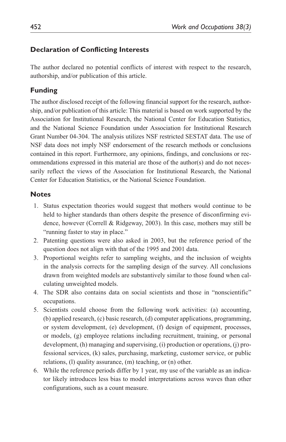### **Declaration of Conflicting Interests**

The author declared no potential conflicts of interest with respect to the research, authorship, and/or publication of this article.

### **Funding**

The author disclosed receipt of the following financial support for the research, authorship, and/or publication of this article: This material is based on work supported by the Association for Institutional Research, the National Center for Education Statistics, and the National Science Foundation under Association for Institutional Research Grant Number 04-304. The analysis utilizes NSF restricted SESTAT data. The use of NSF data does not imply NSF endorsement of the research methods or conclusions contained in this report. Furthermore, any opinions, findings, and conclusions or recommendations expressed in this material are those of the author(s) and do not necessarily reflect the views of the Association for Institutional Research, the National Center for Education Statistics, or the National Science Foundation.

### **Notes**

- 1. Status expectation theories would suggest that mothers would continue to be held to higher standards than others despite the presence of disconfirming evidence, however (Correll & Ridgeway, 2003). In this case, mothers may still be "running faster to stay in place."
- 2. Patenting questions were also asked in 2003, but the reference period of the question does not align with that of the 1995 and 2001 data.
- 3. Proportional weights refer to sampling weights, and the inclusion of weights in the analysis corrects for the sampling design of the survey. All conclusions drawn from weighted models are substantively similar to those found when calculating unweighted models.
- 4. The SDR also contains data on social scientists and those in "nonscientific" occupations.
- 5. Scientists could choose from the following work activities: (a) accounting, (b) applied research, (c) basic research, (d) computer applications, programming, or system development, (e) development, (f) design of equipment, processes, or models, (g) employee relations including recruitment, training, or personal development, (h) managing and supervising, (i) production or operations, (j) professional services, (k) sales, purchasing, marketing, customer service, or public relations, (l) quality assurance, (m) teaching, or (n) other.
- 6. While the reference periods differ by 1 year, my use of the variable as an indicator likely introduces less bias to model interpretations across waves than other configurations, such as a count measure.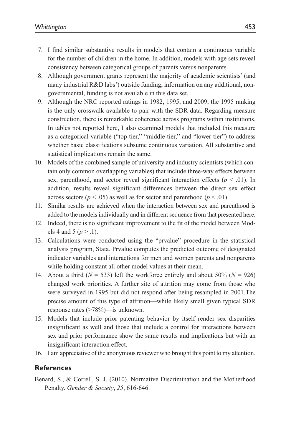- 7. I find similar substantive results in models that contain a continuous variable for the number of children in the home. In addition, models with age sets reveal consistency between categorical groups of parents versus nonparents.
- 8. Although government grants represent the majority of academic scientists' (and many industrial R&D labs') outside funding, information on any additional, nongovernmental, funding is not available in this data set.
- 9. Although the NRC reported ratings in 1982, 1995, and 2009, the 1995 ranking is the only crosswalk available to pair with the SDR data. Regarding measure construction, there is remarkable coherence across programs within institutions. In tables not reported here, I also examined models that included this measure as a categorical variable ("top tier," "middle tier," and "lower tier") to address whether basic classifications subsume continuous variation. All substantive and statistical implications remain the same.
- 10. Models of the combined sample of university and industry scientists (which contain only common overlapping variables) that include three-way effects between sex, parenthood, and sector reveal significant interaction effects ( $p < .01$ ). In addition, results reveal significant differences between the direct sex effect across sectors ( $p < .05$ ) as well as for sector and parenthood ( $p < .01$ ).
- 11. Similar results are achieved when the interaction between sex and parenthood is added to the models individually and in different sequence from that presented here.
- 12. Indeed, there is no significant improvement to the fit of the model between Models 4 and 5 ( $p > 0.1$ ).
- 13. Calculations were conducted using the "prvalue" procedure in the statistical analysis program, Stata. Prvalue computes the predicted outcome of designated indicator variables and interactions for men and women parents and nonparents while holding constant all other model values at their mean.
- 14. About a third  $(N = 533)$  left the workforce entirely and about 50%  $(N = 926)$ changed work priorities. A further site of attrition may come from those who were surveyed in 1995 but did not respond after being resampled in 2001.The precise amount of this type of attrition—while likely small given typical SDR response rates (>78%)—is unknown.
- 15. Models that include prior patenting behavior by itself render sex disparities insignificant as well and those that include a control for interactions between sex and prior performance show the same results and implications but with an insignificant interaction effect.
- 16. I am appreciative of the anonymous reviewer who brought this point to my attention.

### **References**

Benard, S., & Correll, S. J. (2010). Normative Discrimination and the Motherhood Penalty. *Gender & Society*, *25*, 616-646.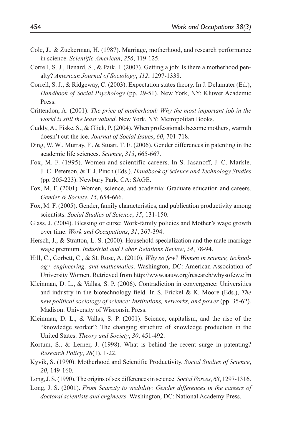- Cole, J., & Zuckerman, H. (1987). Marriage, motherhood, and research performance in science. *Scientific American*, *256*, 119-125.
- Correll, S. J., Benard, S., & Paik, I. (2007). Getting a job: Is there a motherhood penalty? *American Journal of Sociology*, *112*, 1297-1338.
- Correll, S. J., & Ridgeway, C. (2003). Expectation states theory. In J. Delamater (Ed.), *Handbook of Social Psychology* (pp. 29-51). New York, NY: Kluwer Academic Press.
- Crittendon, A. (2001). *The price of motherhood: Why the most important job in the world is still the least valued*. New York, NY: Metropolitan Books.
- Cuddy, A., Fiske, S., & Glick, P. (2004). When professionals become mothers, warmth doesn't cut the ice. *Journal of Social Issues*, *60*, 701-718.
- Ding, W. W., Murray, F., & Stuart, T. E. (2006). Gender differences in patenting in the academic life sciences. *Science*, *313*, 665-667.
- Fox, M. F. (1995). Women and scientific careers. In S. Jasanoff, J. C. Markle, J. C. Peterson, & T. J. Pinch (Eds.), *Handbook of Science and Technology Studies* (pp. 205-223). Newbury Park, CA: SAGE.
- Fox, M. F. (2001). Women, science, and academia: Graduate education and careers. *Gender & Society*, *15*, 654-666.
- Fox, M. F. (2005). Gender, family characteristics, and publication productivity among scientists. *Social Studies of Science*, *35*, 131-150.
- Glass, J. (2004). Blessing or curse: Work-family policies and Mother's wage growth over time. *Work and Occupations*, *31*, 367-394.
- Hersch, J., & Stratton, L. S. (2000). Household specialization and the male marriage wage premium. *Industrial and Labor Relations Review*, *54*, 78-94.
- Hill, C., Corbett, C., & St. Rose, A. (2010). *Why so few? Women in science, technology, engineering, and mathematics*. Washington, DC: American Association of University Women. Retrieved from http://www.aauw.org/research/whysofew.cfm
- Kleinman, D. L., & Vallas, S. P. (2006). Contradiction in convergence: Universities and industry in the biotechnology field. In S. Frickel & K. Moore (Eds.), *The new political sociology of science: Institutions, networks, and power* (pp. 35-62). Madison: University of Wisconsin Press.
- Kleinman, D. L., & Vallas, S. P. (2001). Science, capitalism, and the rise of the "knowledge worker": The changing structure of knowledge production in the United States. *Theory and Society*, *30*, 451-492.
- Kortum, S., & Lerner, J. (1998). What is behind the recent surge in patenting? *Research Policy*, *28*(1), 1-22.
- Kyvik, S. (1990). Motherhood and Scientific Productivity. *Social Studies of Science*, *20*, 149-160.
- Long, J. S. (1990). The origins of sex differences in science. *Social Forces*, *68*, 1297-1316.
- Long, J. S. (2001). *From Scarcity to visibility: Gender differences in the careers of doctoral scientists and engineers*. Washington, DC: National Academy Press.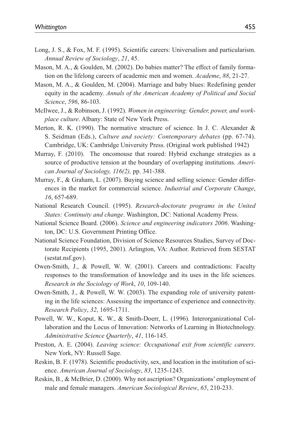- Long, J. S., & Fox, M. F. (1995). Scientific careers: Universalism and particularism. *Annual Review of Sociology*, *21*, 45.
- Mason, M. A., & Goulden, M. (2002). Do babies matter? The effect of family formation on the lifelong careers of academic men and women. *Academe*, *88*, 21-27.
- Mason, M. A., & Goulden, M. (2004). Marriage and baby blues: Redefining gender equity in the academy. *Annals of the American Academy of Political and Social Science*, *596*, 86-103.
- McIlwee, J., & Robinson, J. (1992). *Women in engineering: Gender, power, and workplace culture*. Albany: State of New York Press.
- Merton, R. K. (1990). The normative structure of science. In J. C. Alexander & S. Seidman (Eds.), *Culture and society: Contemporary debates* (pp. 67-74). Cambridge, UK: Cambridge University Press. (Original work published 1942)
- Murray, F. (2010). The oncomouse that roared: Hybrid exchange strategies as a source of productive tension at the boundary of overlapping institutions. *American Journal of Sociology, 116(2),* pp. 341-388.
- Murray, F., & Graham, L. (2007). Buying science and selling science: Gender differences in the market for commercial science. *Industrial and Corporate Change*, *16*, 657-689.
- National Research Council. (1995). *Research-doctorate programs in the United States: Continuity and change*. Washington, DC: National Academy Press.
- National Science Board. (2006). *Science and engineering indicators 2006*. Washington, DC: U.S. Government Printing Office.
- National Science Foundation, Division of Science Resources Studies, Survey of Doctorate Recipients (1995, 2001). Arlington, VA: Author. Retrieved from SESTAT (sestat.nsf.gov).
- Owen-Smith, J., & Powell, W. W. (2001). Careers and contradictions: Faculty responses to the transformation of knowledge and its uses in the life sciences. *Research in the Sociology of Work*, *10*, 109-140.
- Owen-Smith, J., & Powell, W. W. (2003). The expanding role of university patenting in the life sciences: Assessing the importance of experience and connectivity. *Research Policy*, *32*, 1695-1711.
- Powell, W. W., Koput, K. W., & Smith-Doerr, L. (1996). Interorganizational Collaboration and the Locus of Innovation: Networks of Learning in Biotechnology. *Administrative Science Quarterly*, *41*, 116-145.
- Preston, A. E. (2004). *Leaving science: Occupational exit from scientific careers*. New York, NY: Russell Sage.
- Reskin, B. F. (1978). Scientific productivity, sex, and location in the institution of science. *American Journal of Sociology*, *83*, 1235-1243.
- Reskin, B., & McBrier, D. (2000). Why not ascription? Organizations' employment of male and female managers. *American Sociological Review*, *65*, 210-233.